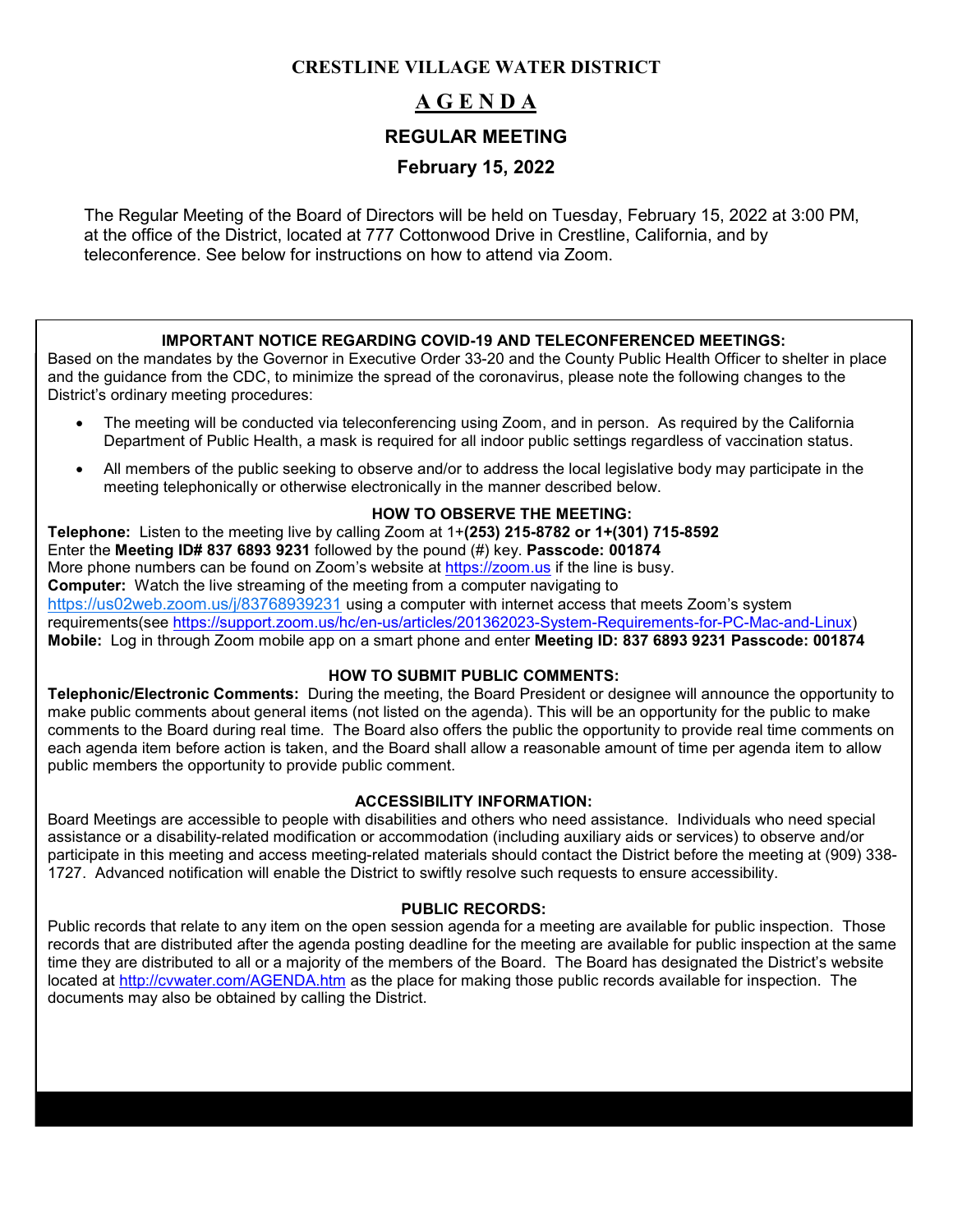# **CRESTLINE VILLAGE WATER DISTRICT**

# **A G E N D A REGULAR MEETING**

# **February 15, 2022**

The Regular Meeting of the Board of Directors will be held on Tuesday, February 15, 2022 at 3:00 PM, at the office of the District, located at 777 Cottonwood Drive in Crestline, California, and by teleconference. See below for instructions on how to attend via Zoom.

### **IMPORTANT NOTICE REGARDING COVID-19 AND TELECONFERENCED MEETINGS:**

Based on the mandates by the Governor in Executive Order 33-20 and the County Public Health Officer to shelter in place and the guidance from the CDC, to minimize the spread of the coronavirus, please note the following changes to the District's ordinary meeting procedures:

- The meeting will be conducted via teleconferencing using Zoom, and in person. As required by the California Department of Public Health, a mask is required for all indoor public settings regardless of vaccination status.
- All members of the public seeking to observe and/or to address the local legislative body may participate in the meeting telephonically or otherwise electronically in the manner described below.

### **HOW TO OBSERVE THE MEETING:**

**Telephone:** Listen to the meeting live by calling Zoom at 1+**(253) 215-8782 or 1+(301) 715-8592** Enter the **Meeting ID# 837 6893 9231** followed by the pound (#) key. **Passcode: 001874** More phone numbers can be found on Zoom's website at [https://zoom.us](https://zoom.us/) if the line is busy. **Computer:** Watch the live streaming of the meeting from a computer navigating to <https://us02web.zoom.us/j/83768939231> using a computer with internet access that meets Zoom's system requirements(see [https://support.zoom.us/hc/en-us/articles/201362023-System-Requirements-for-PC-Mac-and-Linux\)](https://support.zoom.us/hc/en-us/articles/201362023-System-Requirements-for-PC-Mac-and-Linux) **Mobile:** Log in through Zoom mobile app on a smart phone and enter **Meeting ID: 837 6893 9231 Passcode: 001874**

### **HOW TO SUBMIT PUBLIC COMMENTS:**

**Telephonic/Electronic Comments:** During the meeting, the Board President or designee will announce the opportunity to make public comments about general items (not listed on the agenda). This will be an opportunity for the public to make comments to the Board during real time. The Board also offers the public the opportunity to provide real time comments on each agenda item before action is taken, and the Board shall allow a reasonable amount of time per agenda item to allow public members the opportunity to provide public comment.

#### **ACCESSIBILITY INFORMATION:**

Board Meetings are accessible to people with disabilities and others who need assistance. Individuals who need special assistance or a disability-related modification or accommodation (including auxiliary aids or services) to observe and/or participate in this meeting and access meeting-related materials should contact the District before the meeting at (909) 338- 1727. Advanced notification will enable the District to swiftly resolve such requests to ensure accessibility.

#### **PUBLIC RECORDS:**

Public records that relate to any item on the open session agenda for a meeting are available for public inspection. Those records that are distributed after the agenda posting deadline for the meeting are available for public inspection at the same time they are distributed to all or a majority of the members of the Board. The Board has designated the District's website located at<http://cvwater.com/AGENDA.htm> as the place for making those public records available for inspection. The documents may also be obtained by calling the District.